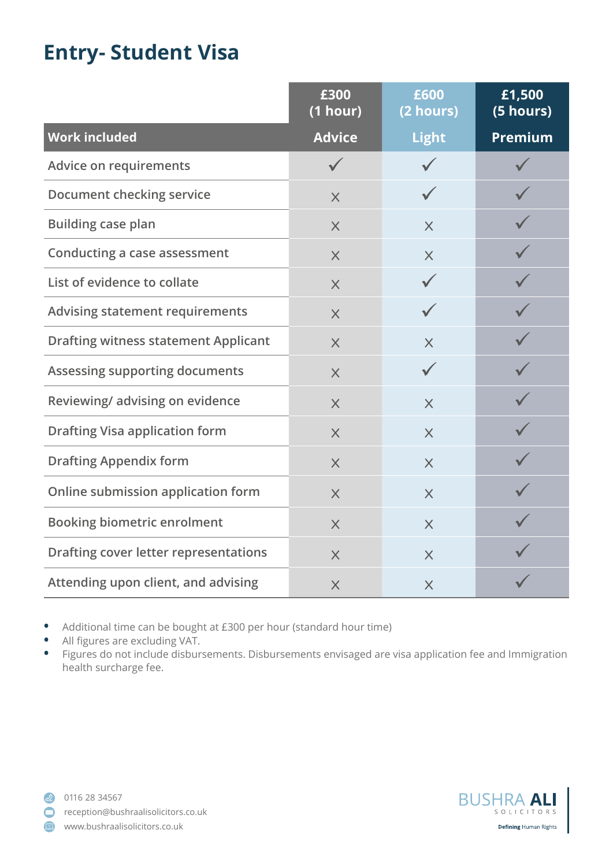## **Entry- Student Visa**

|                                              | £300<br>(1 hour) | £600<br>(2 hours) | £1,500<br>(5 hours) |
|----------------------------------------------|------------------|-------------------|---------------------|
| <b>Work included</b>                         | <b>Advice</b>    | <b>Light</b>      | <b>Premium</b>      |
| <b>Advice on requirements</b>                | $\checkmark$     |                   |                     |
| <b>Document checking service</b>             | $\times$         |                   |                     |
| <b>Building case plan</b>                    | $\times$         | $\times$          |                     |
| <b>Conducting a case assessment</b>          | $\times$         | $\times$          |                     |
| List of evidence to collate                  | $\times$         |                   |                     |
| <b>Advising statement requirements</b>       | $\times$         |                   |                     |
| <b>Drafting witness statement Applicant</b>  | $\times$         | $\times$          |                     |
| <b>Assessing supporting documents</b>        | $\times$         | $\checkmark$      |                     |
| Reviewing/advising on evidence               | $\times$         | $\times$          |                     |
| <b>Drafting Visa application form</b>        | $\times$         | $\times$          |                     |
| <b>Drafting Appendix form</b>                | $\times$         | $\times$          |                     |
| Online submission application form           | $\times$         | $\times$          |                     |
| <b>Booking biometric enrolment</b>           | $\times$         | $\times$          |                     |
| <b>Drafting cover letter representations</b> | $\times$         | $\times$          |                     |
| Attending upon client, and advising          | $\times$         | $\times$          |                     |

• Additional time can be bought at £300 per hour (standard hour time)<br>• All figures are excluding VAT

**•** All figures are excluding VAT.

**•** Figures do not include disbursements. Disbursements envisaged are visa application fee and Immigration health surcharge fee.